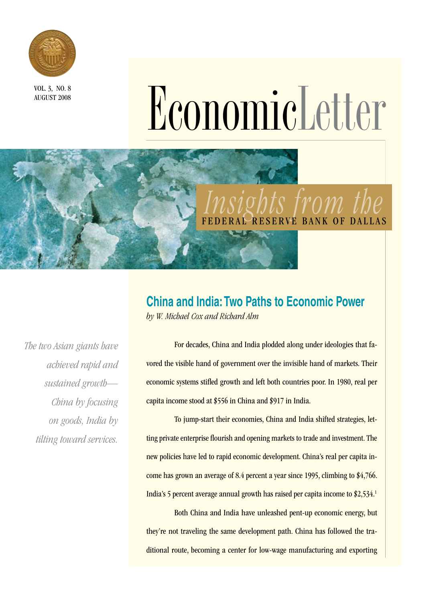

AUGUST 2008

# NOCE 3, NO. 8

## *Insights from the*  RVE BANK OF DALLAS

## **China and India: Two Paths to Economic Power**

*by W. Michael Cox and Richard Alm*

*The two Asian giants have achieved rapid and sustained growth— China by focusing on goods, India by tilting toward services.*

For decades, China and India plodded along under ideologies that favored the visible hand of government over the invisible hand of markets. Their economic systems stifled growth and left both countries poor. In 1980, real per capita income stood at \$556 in China and \$917 in India.

To jump-start their economies, China and India shifted strategies, letting private enterprise flourish and opening markets to trade and investment. The new policies have led to rapid economic development. China's real per capita income has grown an average of 8.4 percent a year since 1995, climbing to \$4,766. India's 5 percent average annual growth has raised per capita income to \$2,534.1

Both China and India have unleashed pent-up economic energy, but they're not traveling the same development path. China has followed the traditional route, becoming a center for low-wage manufacturing and exporting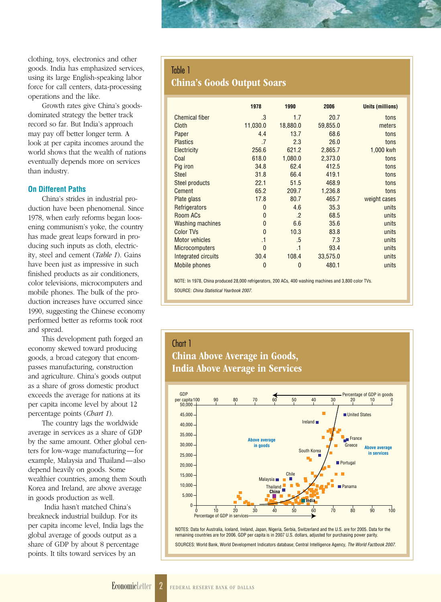clothing, toys, electronics and other goods. India has emphasized services, using its large English-speaking labor force for call centers, data-processing operations and the like.

Growth rates give China's goodsdominated strategy the better track record so far. But India's approach may pay off better longer term. A look at per capita incomes around the world shows that the wealth of nations eventually depends more on services than industry.

#### **On Different Paths**

China's strides in industrial production have been phenomenal. Since 1978, when early reforms began loosening communism's yoke, the country has made great leaps forward in producing such inputs as cloth, electricity, steel and cement (*Table 1*). Gains have been just as impressive in such finished products as air conditioners, color televisions, microcomputers and mobile phones. The bulk of the production increases have occurred since 1990, suggesting the Chinese economy performed better as reforms took root and spread.

This development path forged an economy skewed toward producing goods, a broad category that encompasses manufacturing, construction and agriculture. China's goods output as a share of gross domestic product exceeds the average for nations at its per capita income level by about 12 percentage points (*Chart 1*).

The country lags the worldwide average in services as a share of GDP by the same amount. Other global centers for low-wage manufacturing—for example, Malaysia and Thailand—also depend heavily on goods. Some wealthier countries, among them South Korea and Ireland, are above average in goods production as well.

India hasn't matched China's breakneck industrial buildup. For its per capita income level, India lags the global average of goods output as a share of GDP by about 8 percentage points. It tilts toward services by an

#### Table 1

#### China's Goods Output Soars

|                         | 1978           | 1990            | 2006     | <b>Units (millions)</b> |
|-------------------------|----------------|-----------------|----------|-------------------------|
| <b>Chemical fiber</b>   | .3             | 1.7             | 20.7     | tons                    |
| Cloth                   | 11,030.0       | 18,880.0        | 59,855.0 | meters                  |
| Paper                   | 4.4            | 13.7            | 68.6     | tons                    |
| <b>Plastics</b>         | .7             | 2.3             | 26.0     | tons                    |
| <b>Electricity</b>      | 256.6          | 621.2           | 2,865.7  | 1,000 kwh               |
| Coal                    | 618.0          | 1,080.0         | 2,373.0  | tons                    |
| Pig iron                | 34.8           | 62.4            | 412.5    | tons                    |
| <b>Steel</b>            | 31.8           | 66.4            | 419.1    | tons                    |
| <b>Steel products</b>   | 22.1           | 51.5            | 468.9    | tons                    |
| <b>Cement</b>           | 65.2           | 209.7           | 1,236.8  | tons                    |
| Plate glass             | 17.8           | 80.7            | 465.7    | weight cases            |
| Refrigerators           | $\mathbf{0}$   | 4.6             | 35.3     | units                   |
| Room ACs                | $\mathbf{0}$   | $\cdot$         | 68.5     | units                   |
| <b>Washing machines</b> | $\mathbf{0}$   | 6.6             | 35.6     | units                   |
| <b>Color TVs</b>        | $\mathbf{0}$   | 10.3            | 83.8     | units                   |
| <b>Motor vehicles</b>   | $\cdot$ 1      | .5              | 7.3      | units                   |
| <b>Microcomputers</b>   | $\mathbf{0}$   | $\overline{.}1$ | 93.4     | units                   |
| Integrated circuits     | 30.4           | 108.4           | 33,575.0 | units                   |
| <b>Mobile phones</b>    | $\overline{0}$ | $\overline{0}$  | 480.1    | units                   |

NOTE: In 1978, China produced 28,000 refrigerators, 200 ACs, 400 washing machines and 3,800 color TVs. SOURCE: *China Statistical Yearbook 2007*.

### Chart 1 China Above Average in Goods, India Above Average in Services



NOTES: Data for Australia, Iceland, Ireland, Japan, Nigeria, Serbia, Switzerland and the U.S. are for 2005. Data for the remaining countries are for 2006. GDP per capita is in 2007 U.S. dollars, adjusted for purchasing power parity.

SOURCES: World Bank, World Development Indicators database; Central Intelligence Agency, *The World Factbook 2007*.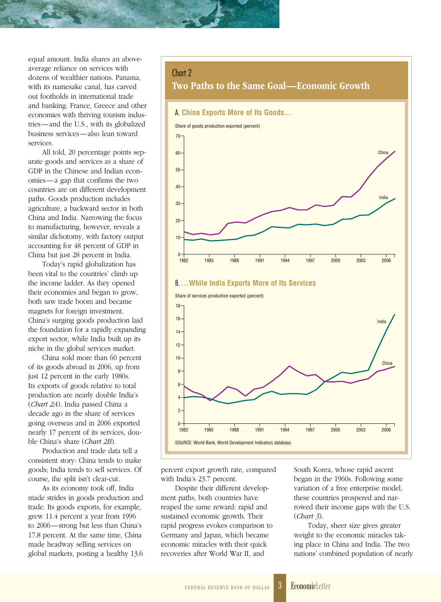equal amount. India shares an aboveaverage reliance on services with dozens of wealthier nations. Panama, with its namesake canal, has carved out footholds in international trade and banking. France, Greece and other economies with thriving tourism industries—and the U.S., with its globalized business services—also lean toward services.

All told, 20 percentage points separate goods and services as a share of GDP in the Chinese and Indian economies—a gap that confirms the two countries are on different development paths. Goods production includes agriculture, a backward sector in both China and India. Narrowing the focus to manufacturing, however, reveals a similar dichotomy, with factory output accounting for 48 percent of GDP in China but just 28 percent in India.

Today's rapid globalization has been vital to the countries' climb up the income ladder. As they opened their economies and began to grow, both saw trade boom and became magnets for foreign investment. China's surging goods production laid the foundation for a rapidly expanding export sector, while India built up its niche in the global services market.

China sold more than 60 percent of its goods abroad in 2006, up from just 12 percent in the early 1980s. Its exports of goods relative to total production are nearly double India's (*Chart 2A*). India passed China a decade ago in the share of services going overseas and in 2006 exported nearly 17 percent of its services, double China's share (*Chart 2B*).

Production and trade data tell a consistent story: China tends to make goods; India tends to sell services. Of course, the split isn't clear-cut.

As its economy took off, India made strides in goods production and trade. Its goods exports, for example, grew 11.4 percent a year from 1996 to 2006—strong but less than China's 17.8 percent. At the same time, China made headway selling services on global markets, posting a healthy 13.6

#### Chart 2

Two Paths to the Same Goal—Economic Growth



#### B.**…While India Exports More of Its Services**



percent export growth rate, compared with India's 23.7 percent.

Despite their different development paths, both countries have reaped the same reward: rapid and sustained economic growth. Their rapid progress evokes comparison to Germany and Japan, which became economic miracles with their quick recoveries after World War II, and

South Korea, whose rapid ascent began in the 1960s. Following some variation of a free enterprise model, these countries prospered and narrowed their income gaps with the U.S. (*Chart 3*).

Today, sheer size gives greater weight to the economic miracles taking place in China and India. The two nations' combined population of nearly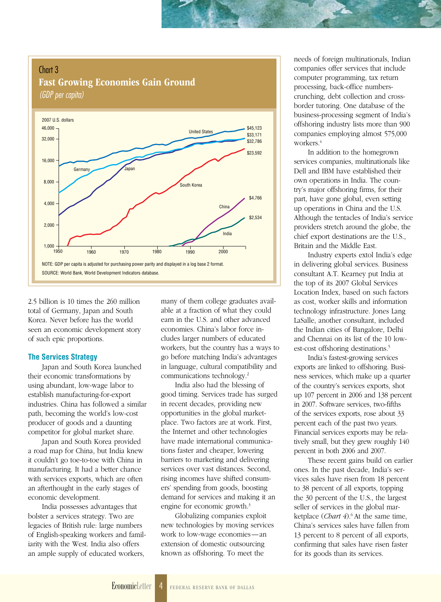Chart 3 Fast Growing Economies Gain Ground *(GDP per capita)*



2.5 billion is 10 times the 260 million total of Germany, Japan and South Korea. Never before has the world seen an economic development story of such epic proportions.

#### **The Services Strategy**

Japan and South Korea launched their economic transformations by using abundant, low-wage labor to establish manufacturing-for-export industries. China has followed a similar path, becoming the world's low-cost producer of goods and a daunting competitor for global market share.

Japan and South Korea provided a road map for China, but India knew it couldn't go toe-to-toe with China in manufacturing. It had a better chance with services exports, which are often an afterthought in the early stages of economic development.

India possesses advantages that bolster a services strategy. Two are legacies of British rule: large numbers of English-speaking workers and familiarity with the West. India also offers an ample supply of educated workers,

many of them college graduates available at a fraction of what they could earn in the U.S. and other advanced economies. China's labor force includes larger numbers of educated workers, but the country has a ways to go before matching India's advantages in language, cultural compatibility and communications technology.2

India also had the blessing of good timing. Services trade has surged in recent decades, providing new opportunities in the global marketplace. Two factors are at work. First, the Internet and other technologies have made international communications faster and cheaper, lowering barriers to marketing and delivering services over vast distances. Second, rising incomes have shifted consumers' spending from goods, boosting demand for services and making it an engine for economic growth.3

Globalizing companies exploit new technologies by moving services work to low-wage economies—an extension of domestic outsourcing known as offshoring. To meet the

needs of foreign multinationals, Indian companies offer services that include computer programming, tax return processing, back-office numberscrunching, debt collection and crossborder tutoring. One database of the business-processing segment of India's offshoring industry lists more than 900 companies employing almost 575,000 workers.<sup>4</sup>

In addition to the homegrown services companies, multinationals like Dell and IBM have established their own operations in India. The country's major offshoring firms, for their part, have gone global, even setting up operations in China and the U.S. Although the tentacles of India's service providers stretch around the globe, the chief export destinations are the U.S., Britain and the Middle East.

Industry experts extol India's edge in delivering global services. Business consultant A.T. Kearney put India at the top of its 2007 Global Services Location Index, based on such factors as cost, worker skills and information technology infrastructure. Jones Lang LaSalle, another consultant, included the Indian cities of Bangalore, Delhi and Chennai on its list of the 10 lowest-cost offshoring destinations.<sup>5</sup>

India's fastest-growing services exports are linked to offshoring. Business services, which make up a quarter of the country's services exports, shot up 107 percent in 2006 and 138 percent in 2007. Software services, two-fifths of the services exports, rose about 33 percent each of the past two years. Financial services exports may be relatively small, but they grew roughly 140 percent in both 2006 and 2007.

These recent gains build on earlier ones. In the past decade, India's services sales have risen from 18 percent to 38 percent of all exports, topping the 30 percent of the U.S., the largest seller of services in the global marketplace (*Chart 4*).6 At the same time, China's services sales have fallen from 13 percent to 8 percent of all exports, confirming that sales have risen faster for its goods than its services.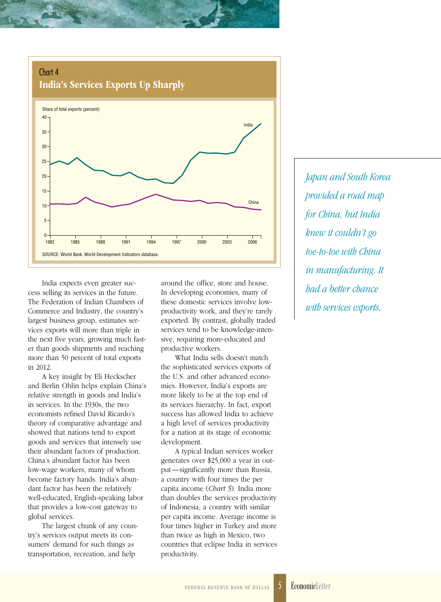

India expects even greater success selling its services in the future. The Federation of Indian Chambers of Commerce and Industry, the country's largest business group, estimates services exports will more than triple in the next five years, growing much faster than goods shipments and reaching more than 50 percent of total exports in 2012.

A key insight by Eli Heckscher and Berlin Ohlin helps explain China's relative strength in goods and India's in services. In the 1930s, the two economists refined David Ricardo's theory of comparative advantage and showed that nations tend to export goods and services that intensely use their abundant factors of production. China's abundant factor has been low-wage workers, many of whom become factory hands. India's abundant factor has been the relatively well-educated, English-speaking labor that provides a low-cost gateway to global services.

The largest chunk of any country's services output meets its consumers' demand for such things as transportation, recreation, and help

around the office, store and house. In developing economies, many of these domestic services involve lowproductivity work, and they're rarely exported. By contrast, globally traded services tend to be knowledge-intensive, requiring more-educated and productive workers.

What India sells doesn't match the sophisticated services exports of the U.S. and other advanced economies. However, India's exports are more likely to be at the top end of its services hierarchy. In fact, export success has allowed India to achieve a high level of services productivity for a nation at its stage of economic development.

A typical Indian services worker generates over \$25,000 a year in output—significantly more than Russia, a country with four times the per capita income (*Chart 5*). India more than doubles the services productivity of Indonesia, a country with similar per capita income. Average income is four times higher in Turkey and more than twice as high in Mexico, two countries that eclipse India in services productivity.

*Japan and South Korea provided a road map for China, but India knew it couldn't go toe-to-toe with China in manufacturing. It had a better chance with services exports.*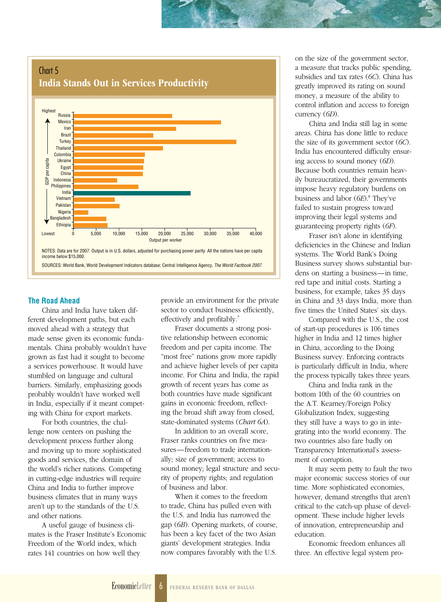

#### **The Road Ahead**

China and India have taken different development paths, but each moved ahead with a strategy that made sense given its economic fundamentals. China probably wouldn't have grown as fast had it sought to become a services powerhouse. It would have stumbled on language and cultural barriers. Similarly, emphasizing goods probably wouldn't have worked well in India, especially if it meant competing with China for export markets*.*

For both countries, the challenge now centers on pushing the development process further along and moving up to more sophisticated goods and services, the domain of the world's richer nations. Competing in cutting-edge industries will require China and India to further improve business climates that in many ways aren't up to the standards of the U.S. and other nations.

A useful gauge of business climates is the Fraser Institute's Economic Freedom of the World index, which rates 141 countries on how well they

provide an environment for the private sector to conduct business efficiently, effectively and profitably.7

Fraser documents a strong positive relationship between economic freedom and per capita income. The "most free" nations grow more rapidly and achieve higher levels of per capita income. For China and India, the rapid growth of recent years has come as both countries have made significant gains in economic freedom, reflecting the broad shift away from closed, state-dominated systems (*Chart 6A*).

In addition to an overall score, Fraser ranks countries on five measures—freedom to trade internationally; size of government; access to sound money; legal structure and security of property rights; and regulation of business and labor.

When it comes to the freedom to trade, China has pulled even with the U.S. and India has narrowed the gap (*6B*). Opening markets, of course, has been a key facet of the two Asian giants' development strategies. India now compares favorably with the U.S.

on the size of the government sector, a measure that tracks public spending, subsidies and tax rates (*6C*). China has greatly improved its rating on sound money, a measure of the ability to control inflation and access to foreign currency (*6D*).

China and India still lag in some areas. China has done little to reduce the size of its government sector (*6C*). India has encountered difficulty ensuring access to sound money (*6D*). Because both countries remain heavily bureaucratized, their governments impose heavy regulatory burdens on business and labor (*6E*).8 They've failed to sustain progress toward improving their legal systems and guaranteeing property rights (*6F*).

Fraser isn't alone in identifying deficiencies in the Chinese and Indian systems. The World Bank's Doing Business survey shows substantial burdens on starting a business—in time, red tape and initial costs. Starting a business, for example, takes 35 days in China and 33 days India, more than five times the United States' six days.

Compared with the U.S., the cost of start-up procedures is 106 times higher in India and 12 times higher in China, according to the Doing Business survey. Enforcing contracts is particularly difficult in India, where the process typically takes three years.

China and India rank in the bottom 10th of the 60 countries on the A.T. Kearney/Foreign Policy Globalization Index, suggesting they still have a ways to go in integrating into the world economy. The two countries also fare badly on Transparency International's assessment of corruption.

It may seem petty to fault the two major economic success stories of our time. More sophisticated economies, however, demand strengths that aren't critical to the catch-up phase of development. These include higher levels of innovation, entrepreneurship and education.

Economic freedom enhances all three. An effective legal system pro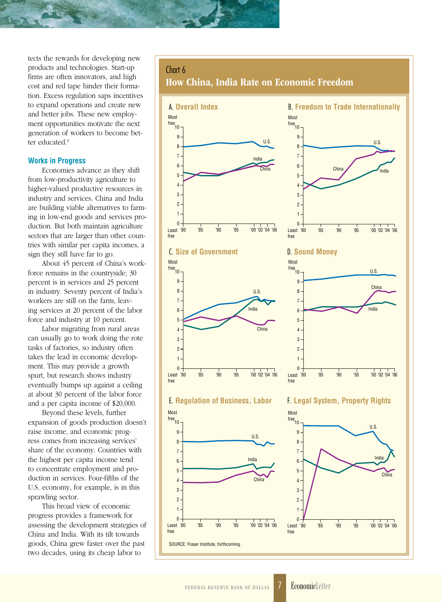tects the rewards for developing new products and technologies. Start-up firms are often innovators, and high cost and red tape hinder their formation. Excess regulation saps incentives to expand operations and create new and better jobs. These new employment opportunities motivate the next generation of workers to become better educated.<sup>9</sup>

#### **Works in Progress**

Economies advance as they shift from low-productivity agriculture to higher-valued productive resources in industry and services. China and India are building viable alternatives to farming in low-end goods and services production. But both maintain agriculture sectors that are larger than other countries with similar per capita incomes, a sign they still have far to go.

About 45 percent of China's workforce remains in the countryside; 30 percent is in services and 25 percent in industry. Seventy percent of India's workers are still on the farm, leaving services at 20 percent of the labor force and industry at 10 percent.

Labor migrating from rural areas can usually go to work doing the rote tasks of factories, so industry often takes the lead in economic development. This may provide a growth spurt, but research shows industry eventually bumps up against a ceiling at about 30 percent of the labor force and a per capita income of \$20,000.

Beyond these levels, further expansion of goods production doesn't raise income, and economic progress comes from increasing services' share of the economy. Countries with the highest per capita income tend to concentrate employment and production in services. Four-fifths of the U.S. economy, for example, is in this sprawling sector.

This broad view of economic progress provides a framework for assessing the development strategies of China and India. With its tilt towards goods, China grew faster over the past two decades, using its cheap labor to

#### Chart 6

How China, India Rate on Economic Freedom